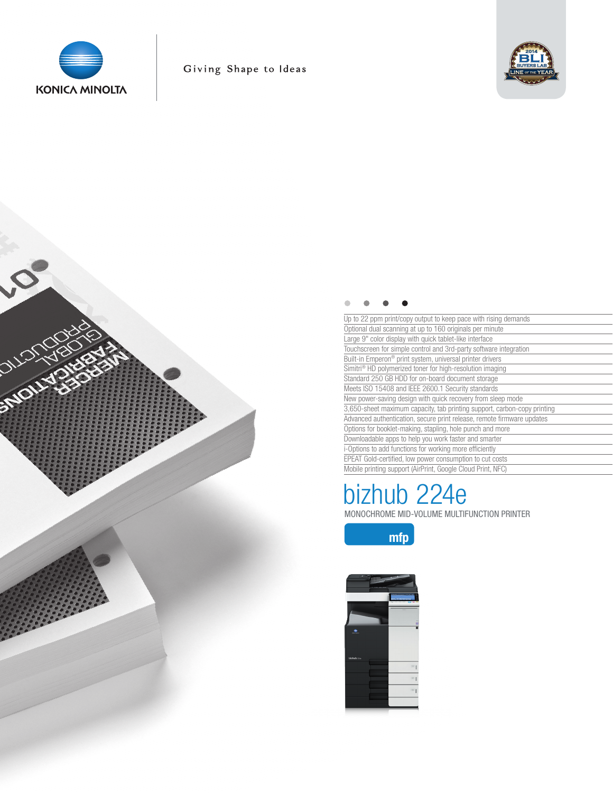

**SIDUI!** 



| Up to 22 ppm print/copy output to keep pace with rising demands          |
|--------------------------------------------------------------------------|
| Optional dual scanning at up to 160 originals per minute                 |
| Large 9" color display with quick tablet-like interface                  |
| Touchscreen for simple control and 3rd-party software integration        |
| Built-in Emperon® print system, universal printer drivers                |
| Simitri <sup>®</sup> HD polymerized toner for high-resolution imaging    |
| Standard 250 GB HDD for on-board document storage                        |
| Meets ISO 15408 and IEEE 2600.1 Security standards                       |
| New power-saving design with quick recovery from sleep mode              |
| 3,650-sheet maximum capacity, tab printing support, carbon-copy printing |
| Advanced authentication, secure print release, remote firmware updates   |
| Options for booklet-making, stapling, hole punch and more                |
| Downloadable apps to help you work faster and smarter                    |
| i-Options to add functions for working more efficiently                  |
| EPEAT Gold-certified, low power consumption to cut costs                 |
| Mobile printing support (AirPrint, Google Cloud Print, NFC)              |

# bizhub 224e

MONOCHROME MID-VOLUME MULTIFUNCTION PRINTER



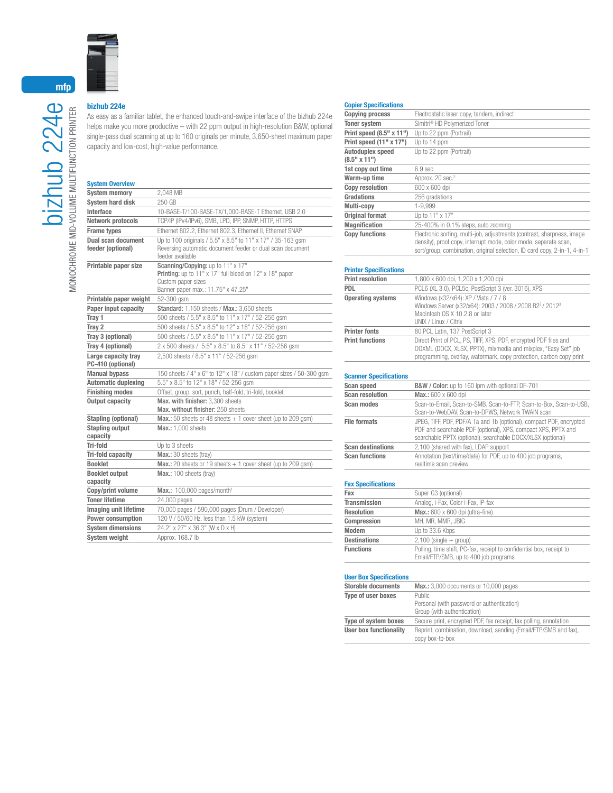

## bizhub 224e

As easy as a familiar tablet, the enhanced touch-and-swipe interface of the bizhub 224e helps make you more productive – with 22 ppm output in high-resolution B&W, optional single-pass dual scanning at up to 160 originals per minute, 3,650-sheet maximum paper capacity and low-cost, high-value performance.

### System Overview

| UYJWIII UYUI YIVY                        |                                                                                                                                                          |
|------------------------------------------|----------------------------------------------------------------------------------------------------------------------------------------------------------|
| <b>System memory</b>                     | 2,048 MB                                                                                                                                                 |
| <b>System hard disk</b>                  | 250 GB                                                                                                                                                   |
| Interface                                | 10-BASE-T/100-BASE-TX/1,000-BASE-T Ethernet, USB 2.0                                                                                                     |
| Network protocols                        | TCP/IP (IPv4/IPv6), SMB, LPD, IPP, SNMP, HTTP, HTTPS                                                                                                     |
| <b>Frame types</b>                       | Ethernet 802.2, Ethernet 802.3, Ethernet II, Ethernet SNAP                                                                                               |
| Dual scan document                       | Up to 100 originals / 5.5" x 8.5" to 11" x 17" / 35-163 gsm                                                                                              |
| feeder (optional)                        | Reversing automatic document feeder or dual scan document<br>feeder available                                                                            |
| Printable paper size                     | Scanning/Copying: up to 11" x 17"<br>Printing: up to 11" x 17" full bleed on 12" x 18" paper<br>Custom paper sizes<br>Banner paper max.: 11.75" x 47.25" |
| Printable paper weight                   | 52-300 gsm                                                                                                                                               |
| Paper input capacity                     | Standard: 1,150 sheets / Max.: 3,650 sheets                                                                                                              |
| Tray 1                                   | 500 sheets / 5.5" x 8.5" to 11" x 17" / 52-256 gsm                                                                                                       |
| Tray 2                                   | 500 sheets / 5.5" x 8.5" to 12" x 18" / 52-256 gsm                                                                                                       |
| Tray 3 (optional)                        | 500 sheets / 5.5" x 8.5" to 11" x 17" / 52-256 gsm                                                                                                       |
| Tray 4 (optional)                        | 2 x 500 sheets / 5.5" x 8.5" to 8.5" x 11" / 52-256 gsm                                                                                                  |
| Large capacity tray<br>PC-410 (optional) | 2,500 sheets / 8.5" x 11" / 52-256 gsm                                                                                                                   |
| <b>Manual bypass</b>                     | 150 sheets / 4" x 6" to 12" x 18" / custom paper sizes / 50-300 qsm                                                                                      |
| <b>Automatic duplexing</b>               | 5.5" x 8.5" to 12" x 18" / 52-256 gsm                                                                                                                    |
| <b>Finishing modes</b>                   | Offset, group, sort, punch, half-fold, tri-fold, booklet                                                                                                 |
| <b>Output capacity</b>                   | Max. with finisher: 3.300 sheets<br>Max. without finisher: 250 sheets                                                                                    |
| <b>Stapling (optional)</b>               | <b>Max.:</b> 50 sheets or 48 sheets $+1$ cover sheet (up to 209 gsm)                                                                                     |
| <b>Stapling output</b><br>capacity       | <b>Max.: 1.000 sheets</b>                                                                                                                                |
| Tri-fold                                 | Up to 3 sheets                                                                                                                                           |
| Tri-fold capacity                        | Max.: 30 sheets (tray)                                                                                                                                   |
| <b>Booklet</b>                           | <b>Max.:</b> 20 sheets or 19 sheets $+$ 1 cover sheet (up to 209 gsm)                                                                                    |
| <b>Booklet output</b>                    | Max.: 100 sheets (tray)                                                                                                                                  |
| capacity                                 |                                                                                                                                                          |
| Copy/print volume                        | Max.: $100,000$ pages/month <sup>1</sup>                                                                                                                 |
| <b>Toner lifetime</b>                    | 24.000 pages                                                                                                                                             |
| <b>Imaging unit lifetime</b>             | 70,000 pages / 590,000 pages (Drum / Developer)                                                                                                          |
| Power consumption                        | 120 V / 50/60 Hz, less than 1.5 kW (system)                                                                                                              |
| <b>System dimensions</b>                 | 24.2" x 27" x 36.3" (W x D x H)                                                                                                                          |
| <b>System weight</b>                     | Approx, 168.7 lb                                                                                                                                         |

#### Copier Specifications

| <b>Copying process</b>   | Electrostatic laser copy, tandem, indirect                                                                                                    |
|--------------------------|-----------------------------------------------------------------------------------------------------------------------------------------------|
| <b>Toner system</b>      | Simitri <sup>®</sup> HD Polymerized Toner                                                                                                     |
| Print speed (8.5" x 11") | Up to 22 ppm (Portrait)                                                                                                                       |
| Print speed (11" x 17")  | Up to 14 ppm                                                                                                                                  |
| Autoduplex speed         | Up to 22 ppm (Portrait)                                                                                                                       |
| $(8.5" \times 11")$      |                                                                                                                                               |
| 1st copy out time        | $6.9$ sec.                                                                                                                                    |
| Warm-up time             | Approx. 20 sec. <sup>2</sup>                                                                                                                  |
| <b>Copy resolution</b>   | 600 x 600 dpi                                                                                                                                 |
| Gradations               | 256 gradations                                                                                                                                |
| Multi-copy               | 1-9.999                                                                                                                                       |
| <b>Original format</b>   | Up to 11" x 17"                                                                                                                               |
| <b>Magnification</b>     | 25-400% in 0.1% steps, auto zooming                                                                                                           |
| <b>Copy functions</b>    | Electronic sorting, multi-job, adjustments (contrast, sharpness, image                                                                        |
|                          | density), proof copy, interrupt mode, color mode, separate scan,<br>sort/group, combination, original selection, ID card copy, 2-in-1, 4-in-1 |
|                          |                                                                                                                                               |

### Printer Specifications

| <b>Print resolution</b>  | 1,800 x 600 dpi, 1,200 x 1,200 dpi                                                                                                                                                                        |
|--------------------------|-----------------------------------------------------------------------------------------------------------------------------------------------------------------------------------------------------------|
| <b>PDL</b>               | PCL6 (XL 3.0), PCL5c, PostScript 3 (ver. 3016), XPS                                                                                                                                                       |
| <b>Operating systems</b> | Windows (x32/x64): XP / Vista / 7 / 8<br>Windows Server (x32/x64): 2003 / 2008 / 2008 R23 / 20123<br>Macintosh OS X 10.2.8 or later<br>UNIX / Linux / Citrix                                              |
| <b>Printer fonts</b>     | 80 PCL Latin, 137 PostScript 3                                                                                                                                                                            |
| <b>Print functions</b>   | Direct Print of PCL, PS, TIFF, XPS, PDF, encrypted PDF files and<br>OOXML (DOCX, XLSX, PPTX), mixmedia and mixplex, "Easy Set" job<br>programming, overlay, watermark, copy protection, carbon copy print |

#### Scanner Specifications

| Scan speed               | B&W / Color: up to 160 ipm with optional DF-701                                                                                                                                                     |
|--------------------------|-----------------------------------------------------------------------------------------------------------------------------------------------------------------------------------------------------|
| <b>Scan resolution</b>   | Max.: 600 x 600 dpi                                                                                                                                                                                 |
| <b>Scan modes</b>        | Scan-to-Email, Scan-to-SMB, Scan-to-FTP, Scan-to-Box, Scan-to-USB,<br>Scan-to-WebDAV, Scan-to-DPWS, Network TWAIN scan                                                                              |
| <b>File formats</b>      | JPEG, TIFF, PDF, PDF/A 1a and 1b (optional), compact PDF, encrypted<br>PDF and searchable PDF (optional), XPS, compact XPS, PPTX and<br>searchable PPTX (optional), searchable DOCX/XLSX (optional) |
| <b>Scan destinations</b> | 2,100 (shared with fax), LDAP support                                                                                                                                                               |
| <b>Scan functions</b>    | Annotation (text/time/date) for PDF, up to 400 job programs,<br>realtime scan preview                                                                                                               |

#### Fax Specifications

| Fax                 | Super G3 (optional)                                                                                           |
|---------------------|---------------------------------------------------------------------------------------------------------------|
| <b>Transmission</b> | Analog, i-Fax, Color i-Fax, IP-fax                                                                            |
| <b>Resolution</b>   | Max.: 600 x 600 dpi (ultra-fine)                                                                              |
| Compression         | MH, MR, MMR, JBIG                                                                                             |
| Modem               | Up to 33.6 Kbps                                                                                               |
| <b>Destinations</b> | $2,100$ (single $+$ group)                                                                                    |
| <b>Functions</b>    | Polling, time shift, PC-fax, receipt to confidential box, receipt to<br>Email/FTP/SMB, up to 400 job programs |

#### User Box Specifications

| <b>Storable documents</b>     | Max.: 3,000 documents or 10,000 pages                             |
|-------------------------------|-------------------------------------------------------------------|
| Type of user boxes            | Public                                                            |
|                               | Personal (with password or authentication)                        |
|                               | Group (with authentication)                                       |
| <b>Type of system boxes</b>   | Secure print, encrypted PDF, fax receipt, fax polling, annotation |
| <b>User box functionality</b> | Reprint, combination, download, sending (Email/FTP/SMB and fax),  |
|                               | copy box-to-box                                                   |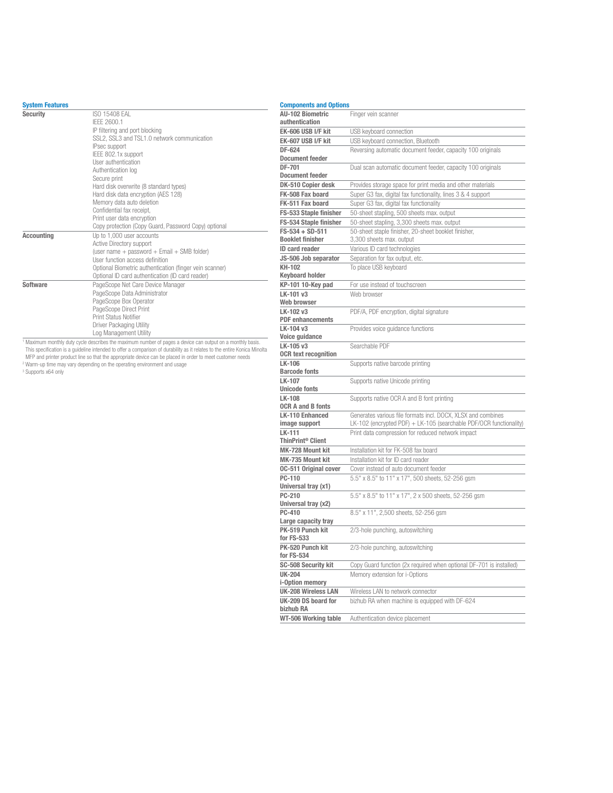#### System Features

| <b>Security</b>   | ISO 15408 FAI                                           |
|-------------------|---------------------------------------------------------|
|                   | IFFF 2600.1                                             |
|                   | IP filtering and port blocking                          |
|                   | SSL2, SSL3 and TSL1.0 network communication             |
|                   | IPsec support                                           |
|                   | IEEE 802.1x support                                     |
|                   | User authentication                                     |
|                   | Authentication log                                      |
|                   | Secure print                                            |
|                   | Hard disk overwrite (8 standard types)                  |
|                   | Hard disk data encryption (AES 128)                     |
|                   | Memory data auto deletion                               |
|                   | Confidential fax receipt,                               |
|                   | Print user data encryption                              |
|                   | Copy protection (Copy Guard, Password Copy) optional    |
| <b>Accounting</b> | Up to 1,000 user accounts                               |
|                   | Active Directory support                                |
|                   | (user name + password + Email + SMB folder)             |
|                   | User function access definition                         |
|                   | Optional Biometric authentication (finger vein scanner) |
|                   | Optional ID card authentication (ID card reader)        |
| Software          | PageScope Net Care Device Manager                       |
|                   | PageScope Data Administrator                            |
|                   | PageScope Box Operator                                  |
|                   | PageScope Direct Print                                  |
|                   | Print Status Notifier                                   |
|                   | Driver Packaging Utility                                |
|                   | Log Management Utility                                  |

Log Management Utility<br>
"Maximum monthly duty cycle describes the maximum number of pages a device can output on a monthly basis.<br>
This specification is a guideline intended to offer a comparison of durability as it relate

| <b>Components and Options</b>    |                                                                     |
|----------------------------------|---------------------------------------------------------------------|
| <b>AU-102 Biometric</b>          | Finger vein scanner                                                 |
| authentication                   |                                                                     |
| EK-606 USB I/F kit               | USB keyboard connection                                             |
| EK-607 USB I/F kit               | USB keyboard connection, Bluetooth                                  |
| DF-624                           | Reversing automatic document feeder, capacity 100 originals         |
| <b>Document feeder</b>           |                                                                     |
| DF-701                           | Dual scan automatic document feeder, capacity 100 originals         |
| <b>Document feeder</b>           |                                                                     |
| DK-510 Copier desk               | Provides storage space for print media and other materials          |
| FK-508 Fax board                 | Super G3 fax, digital fax functionality, lines 3 & 4 support        |
| FK-511 Fax board                 | Super G3 fax, digital fax functionality                             |
| FS-533 Staple finisher           | 50-sheet stapling, 500 sheets max. output                           |
| FS-534 Staple finisher           | 50-sheet stapling, 3,300 sheets max. output                         |
| $FS-534 + SD-511$                | 50-sheet staple finisher, 20-sheet booklet finisher,                |
| <b>Booklet finisher</b>          | 3,300 sheets max. output                                            |
| <b>ID card reader</b>            | Various ID card technologies                                        |
| JS-506 Job separator             | Separation for fax output, etc.                                     |
| KH-102<br><b>Keyboard holder</b> | To place USB keyboard                                               |
| KP-101 10-Key pad                | For use instead of touchscreen                                      |
| LK-101 v3                        | Web browser                                                         |
| Web browser                      |                                                                     |
| LK-102 v3                        | PDF/A, PDF encryption, digital signature                            |
| <b>PDF</b> enhancements          |                                                                     |
| LK-104 v3                        | Provides voice guidance functions                                   |
| Voice guidance                   |                                                                     |
| LK-105 v3                        | Searchable PDF                                                      |
| <b>OCR text recognition</b>      |                                                                     |
| LK-106                           | Supports native barcode printing                                    |
| <b>Barcode fonts</b>             |                                                                     |
| LK-107                           | Supports native Unicode printing                                    |
| <b>Unicode fonts</b><br>LK-108   |                                                                     |
| <b>OCR A and B fonts</b>         | Supports native OCR A and B font printing                           |
| <b>LK-110 Enhanced</b>           | Generates various file formats incl. DOCX, XLSX and combines        |
| image support                    | LK-102 (encrypted PDF) + LK-105 (searchable PDF/OCR functionality)  |
| LK-111                           | Print data compression for reduced network impact                   |
| ThinPrint <sup>®</sup> Client    |                                                                     |
| MK-728 Mount kit                 | Installation kit for FK-508 fax board                               |
| MK-735 Mount kit                 | Installation kit for ID card reader                                 |
| <b>0C-511 Original cover</b>     | Cover instead of auto document feeder                               |
| PC-110                           | 5.5" x 8.5" to 11" x 17", 500 sheets, 52-256 gsm                    |
| Universal tray (x1)              |                                                                     |
| PC-210                           | 5.5" x 8.5" to 11" x 17", 2 x 500 sheets, 52-256 gsm                |
| Universal tray (x2)              |                                                                     |
| PC-410                           | 8.5" x 11", 2,500 sheets, 52-256 gsm                                |
| Large capacity tray              |                                                                     |
| PK-519 Punch kit                 | 2/3-hole punching, autoswitching                                    |
| for FS-533<br>PK-520 Punch kit   |                                                                     |
| for FS-534                       | 2/3-hole punching, autoswitching                                    |
| <b>SC-508 Security kit</b>       | Copy Guard function (2x required when optional DF-701 is installed) |
| <b>UK-204</b>                    | Memory extension for i-Options                                      |
| i-Option memory                  |                                                                     |
| <b>UK-208 Wireless LAN</b>       | Wireless LAN to network connector                                   |
| UK-209 DS board for              | bizhub RA when machine is equipped with DF-624                      |
| bizhub RA                        |                                                                     |
| WT-506 Working table             | Authentication device placement                                     |